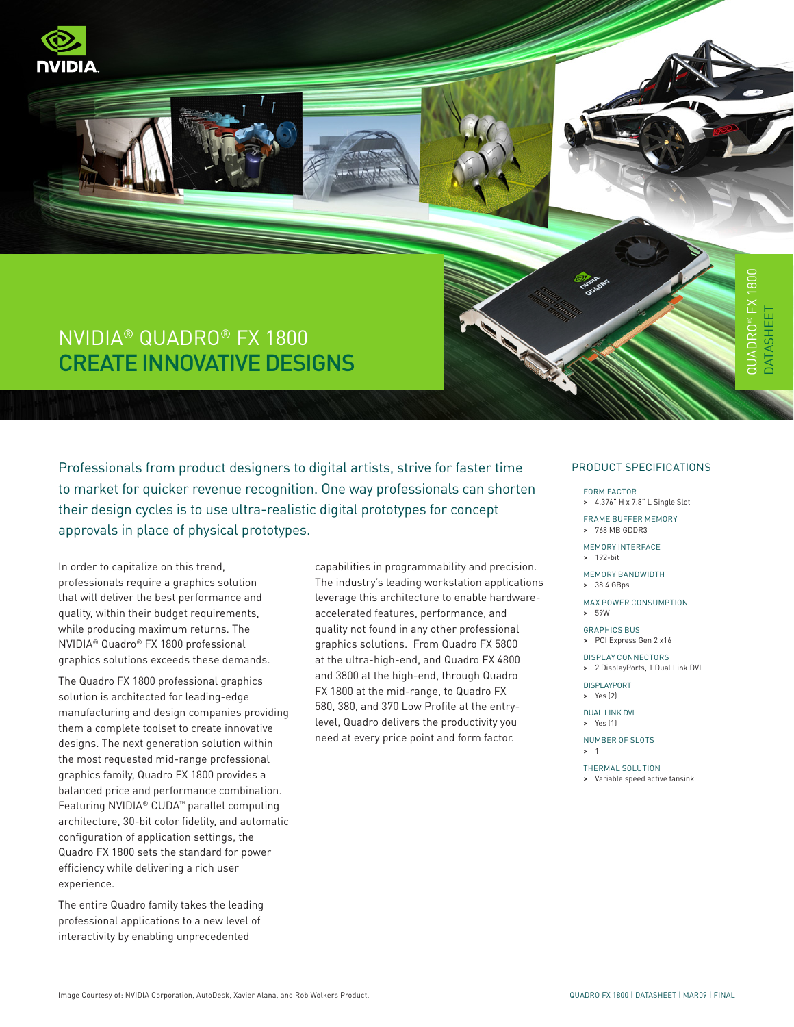









# QUADRO® FX 1800 DATASHEET **JATASHEE**

# NVIDIA® QUADRO® FX 1800 Create Innovative Designs

Professionals from product designers to digital artists, strive for faster time to market for quicker revenue recognition. One way professionals can shorten their design cycles is to use ultra-realistic digital prototypes for concept approvals in place of physical prototypes.

In order to capitalize on this trend, professionals require a graphics solution that will deliver the best performance and quality, within their budget requirements, while producing maximum returns. The NVIDIA® Quadro® FX 1800 professional graphics solutions exceeds these demands.

The Quadro FX 1800 professional graphics solution is architected for leading-edge manufacturing and design companies providing them a complete toolset to create innovative designs. The next generation solution within the most requested mid-range professional graphics family, Quadro FX 1800 provides a balanced price and performance combination. Featuring NVIDIA® CUDA™ parallel computing architecture, 30-bit color fidelity, and automatic configuration of application settings, the Quadro FX 1800 sets the standard for power efficiency while delivering a rich user experience.

The entire Quadro family takes the leading professional applications to a new level of interactivity by enabling unprecedented

capabilities in programmability and precision. The industry's leading workstation applications leverage this architecture to enable hardwareaccelerated features, performance, and quality not found in any other professional graphics solutions. From Quadro FX 5800 at the ultra-high-end, and Quadro FX 4800 and 3800 at the high-end, through Quadro FX 1800 at the mid-range, to Quadro FX 580, 380, and 370 Low Profile at the entrylevel, Quadro delivers the productivity you need at every price point and form factor.

#### PRODUCT SPECIFICATIONS

FORM FACTOR > 4.376" H x 7.8" L Single Slot

Frame Buffer Memory

> 768 MB GDDR3

Memory Interface > 192-bit

Memory Bandwidth

> 38.4 GBps

Max Power Consumption > 59W

Graphics Bus > PCI Express Gen 2 x16

Display Connectors

> 2 DisplayPorts, 1 Dual Link DVI

Displayport > Yes (2)

Dual Link DVI > Yes (1)

Number of Slots > 1

Thermal Solution > Variable speed active fansink